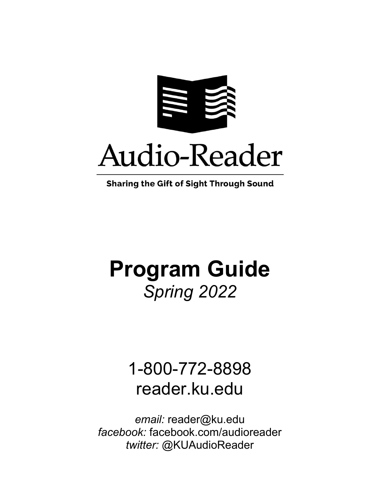

**Sharing the Gift of Sight Through Sound** 

# **Program Guide** *Spring 2022*

## 1-800-772-8898 reader.ku.edu

*email:* reader@ku.edu *facebook:* facebook.com/audioreader *twitter:* @KUAudioReader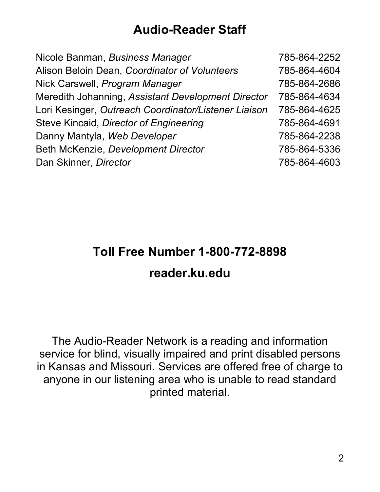#### **Audio-Reader Staff**

| Nicole Banman, Business Manager                      | 785-864-2252 |
|------------------------------------------------------|--------------|
| Alison Beloin Dean, Coordinator of Volunteers        | 785-864-4604 |
| Nick Carswell, Program Manager                       | 785-864-2686 |
| Meredith Johanning, Assistant Development Director   | 785-864-4634 |
| Lori Kesinger, Outreach Coordinator/Listener Liaison | 785-864-4625 |
| Steve Kincaid, Director of Engineering               | 785-864-4691 |
| Danny Mantyla, Web Developer                         | 785-864-2238 |
| Beth McKenzie, Development Director                  | 785-864-5336 |
| Dan Skinner, Director                                | 785-864-4603 |

### **Toll Free Number 1-800-772-8898 reader.ku.edu**

The Audio-Reader Network is a reading and information service for blind, visually impaired and print disabled persons in Kansas and Missouri. Services are offered free of charge to anyone in our listening area who is unable to read standard printed material.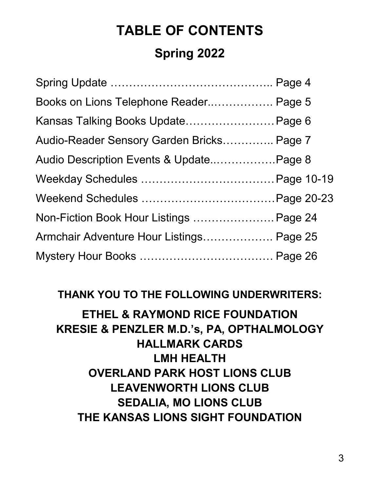## **TABLE OF CONTENTS Spring 2022**

| Books on Lions Telephone Reader Page 5    |  |
|-------------------------------------------|--|
| Kansas Talking Books Update Page 6        |  |
| Audio-Reader Sensory Garden Bricks Page 7 |  |
| Audio Description Events & UpdatePage 8   |  |
|                                           |  |
|                                           |  |
| Non-Fiction Book Hour Listings  Page 24   |  |
| Armchair Adventure Hour Listings Page 25  |  |
|                                           |  |

#### **THANK YOU TO THE FOLLOWING UNDERWRITERS:**

#### **ETHEL & RAYMOND RICE FOUNDATION KRESIE & PENZLER M.D.'s, PA, OPTHALMOLOGY HALLMARK CARDS LMH HEALTH OVERLAND PARK HOST LIONS CLUB LEAVENWORTH LIONS CLUB SEDALIA, MO LIONS CLUB THE KANSAS LIONS SIGHT FOUNDATION**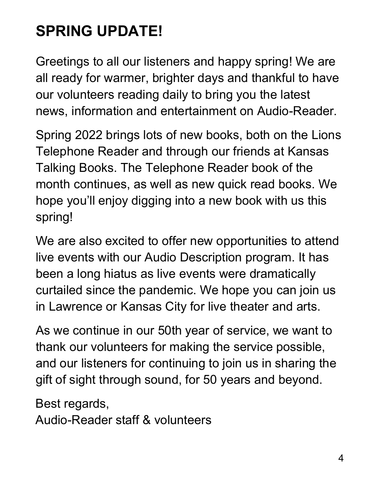## **SPRING UPDATE!**

Greetings to all our listeners and happy spring! We are all ready for warmer, brighter days and thankful to have our volunteers reading daily to bring you the latest news, information and entertainment on Audio-Reader.

Spring 2022 brings lots of new books, both on the Lions Telephone Reader and through our friends at Kansas Talking Books. The Telephone Reader book of the month continues, as well as new quick read books. We hope you'll enjoy digging into a new book with us this spring!

We are also excited to offer new opportunities to attend live events with our Audio Description program. It has been a long hiatus as live events were dramatically curtailed since the pandemic. We hope you can join us in Lawrence or Kansas City for live theater and arts.

As we continue in our 50th year of service, we want to thank our volunteers for making the service possible, and our listeners for continuing to join us in sharing the gift of sight through sound, for 50 years and beyond.

Best regards,

Audio-Reader staff & volunteers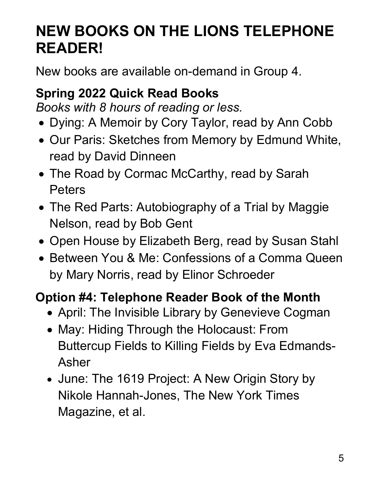### **NEW BOOKS ON THE LIONS TELEPHONE READER!**

New books are available on-demand in Group 4.

### **Spring 2022 Quick Read Books**

*Books with 8 hours of reading or less.*

- Dying: A Memoir by Cory Taylor, read by Ann Cobb
- Our Paris: Sketches from Memory by Edmund White, read by David Dinneen
- The Road by Cormac McCarthy, read by Sarah Peters
- The Red Parts: Autobiography of a Trial by Maggie Nelson, read by Bob Gent
- Open House by Elizabeth Berg, read by Susan Stahl
- Between You & Me: Confessions of a Comma Queen by Mary Norris, read by Elinor Schroeder

### **Option #4: Telephone Reader Book of the Month**

- April: The Invisible Library by Genevieve Cogman
- May: Hiding Through the Holocaust: From Buttercup Fields to Killing Fields by Eva Edmands-Asher
- June: The 1619 Project: A New Origin Story by Nikole Hannah-Jones, The New York Times Magazine, et al.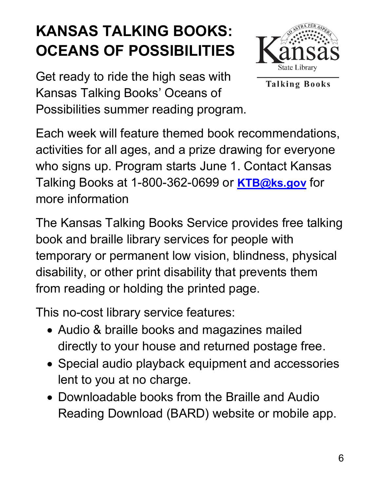## **KANSAS TALKING BOOKS: OCEANS OF POSSIBILITIES**



Get ready to ride the high seas with Kansas Talking Books' Oceans of Possibilities summer reading program.

**Talking Books** 

Each week will feature themed book recommendations, activities for all ages, and a prize drawing for everyone who signs up. Program starts June 1. Contact Kansas Talking Books at 1-800-362-0699 or **[KTB@ks.gov](mailto:KTB@ks.gov)** for more information

The Kansas Talking Books Service provides free talking book and braille library services for people with temporary or permanent low vision, blindness, physical disability, or other print disability that prevents them from reading or holding the printed page.

This no-cost library service features:

- Audio & braille books and magazines mailed directly to your house and returned postage free.
- Special audio playback equipment and accessories lent to you at no charge.
- Downloadable books from the Braille and Audio Reading Download (BARD) website or mobile app.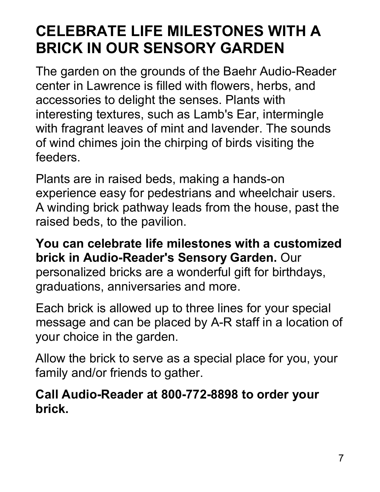### **CELEBRATE LIFE MILESTONES WITH A BRICK IN OUR SENSORY GARDEN**

The garden on the grounds of the Baehr Audio-Reader center in Lawrence is filled with flowers, herbs, and accessories to delight the senses. Plants with interesting textures, such as Lamb's Ear, intermingle with fragrant leaves of mint and lavender. The sounds of wind chimes join the chirping of birds visiting the feeders.

Plants are in raised beds, making a hands-on experience easy for pedestrians and wheelchair users. A winding brick pathway leads from the house, past the raised beds, to the pavilion.

**You can celebrate life milestones with a customized brick in Audio-Reader's Sensory Garden.** Our personalized bricks are a wonderful gift for birthdays, graduations, anniversaries and more.

Each brick is allowed up to three lines for your special message and can be placed by A-R staff in a location of your choice in the garden.

Allow the brick to serve as a special place for you, your family and/or friends to gather.

#### **Call Audio-Reader at 800-772-8898 to order your brick.**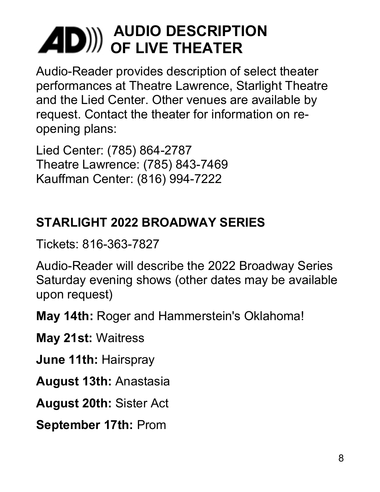## **AUDIO DESCRIPTION OF LIVE THEATER**

Audio-Reader provides description of select theater performances at Theatre Lawrence, Starlight Theatre and the Lied Center. Other venues are available by request. Contact the theater for information on reopening plans:

Lied Center: (785) 864-2787 Theatre Lawrence: (785) 843-7469 Kauffman Center: (816) 994-7222

### **STARLIGHT 2022 BROADWAY SERIES**

Tickets: 816-363-7827

Audio-Reader will describe the 2022 Broadway Series Saturday evening shows (other dates may be available upon request)

**May 14th:** Roger and Hammerstein's Oklahoma!

**May 21st:** Waitress

**June 11th:** Hairspray

**August 13th:** Anastasia

**August 20th:** Sister Act

**September 17th:** Prom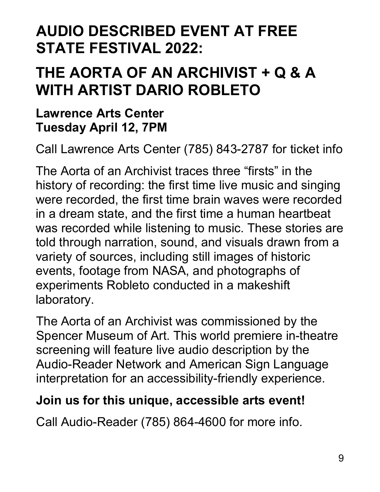### **AUDIO DESCRIBED EVENT AT FREE STATE FESTIVAL 2022:**

### **THE AORTA OF AN ARCHIVIST + Q & A WITH ARTIST DARIO ROBLETO**

#### **Lawrence Arts Center Tuesday April 12, 7PM**

Call Lawrence Arts Center (785) 843-2787 for ticket info

The Aorta of an Archivist traces three "firsts" in the history of recording: the first time live music and singing were recorded, the first time brain waves were recorded in a dream state, and the first time a human heartbeat was recorded while listening to music. These stories are told through narration, sound, and visuals drawn from a variety of sources, including still images of historic events, footage from NASA, and photographs of experiments Robleto conducted in a makeshift laboratory.

The Aorta of an Archivist was commissioned by the Spencer Museum of Art. This world premiere in-theatre screening will feature live audio description by the Audio-Reader Network and American Sign Language interpretation for an accessibility-friendly experience.

### **Join us for this unique, accessible arts event!**

Call Audio-Reader (785) 864-4600 for more info.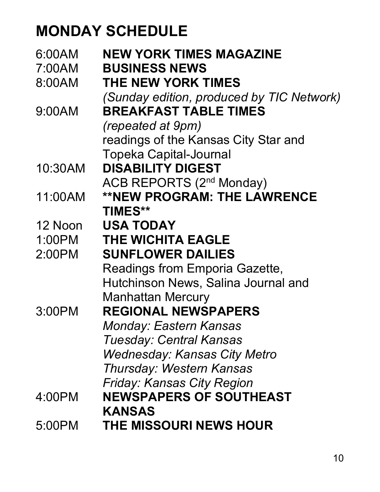### **MONDAY SCHEDULE**

| 6:00AM  | <b>NEW YORK TIMES MAGAZINE</b>            |
|---------|-------------------------------------------|
| 7:00AM  | <b>BUSINESS NEWS</b>                      |
| 8:00AM  | <b>THE NEW YORK TIMES</b>                 |
|         | (Sunday edition, produced by TIC Network) |
| 9:00AM  | <b>BREAKFAST TABLE TIMES</b>              |
|         | <i>(repeated at 9pm)</i>                  |
|         | readings of the Kansas City Star and      |
|         | <b>Topeka Capital-Journal</b>             |
| 10:30AM | <b>DISABILITY DIGEST</b>                  |
|         | <b>ACB REPORTS (2nd Monday)</b>           |
| 11:00AM | <b>**NEW PROGRAM: THE LAWRENCE</b>        |
|         | <b>TIMES**</b>                            |
| 12 Noon | <b>USA TODAY</b>                          |
| 1:00PM  | <b>THE WICHITA EAGLE</b>                  |
| 2:00PM  | <b>SUNFLOWER DAILIES</b>                  |
|         | Readings from Emporia Gazette,            |
|         | Hutchinson News, Salina Journal and       |
|         | <b>Manhattan Mercury</b>                  |
| 3:00PM  | REGIONAL NEWSPAPERS                       |
|         | <b>Monday: Eastern Kansas</b>             |
|         | <b>Tuesday: Central Kansas</b>            |
|         | <b>Wednesday: Kansas City Metro</b>       |
|         | <b>Thursday: Western Kansas</b>           |
|         | <b>Friday: Kansas City Region</b>         |
| 4:00PM  | <b>NEWSPAPERS OF SOUTHEAST</b>            |
|         | <b>KANSAS</b>                             |
| 5:00PM  | <b>THE MISSOURI NEWS HOUR</b>             |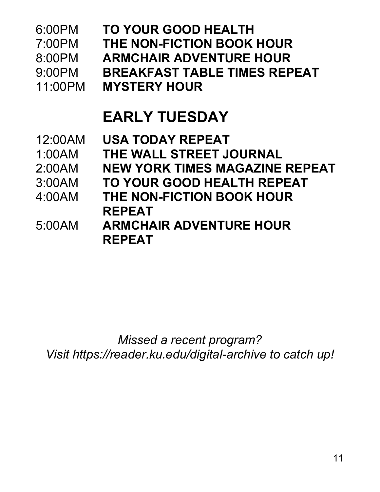| 6:00PM<br>7:00PM<br>8:00PM<br>$9:00$ PM<br>11:00PM | <b>TO YOUR GOOD HEALTH</b><br>THE NON-FICTION BOOK HOUR<br><b>ARMCHAIR ADVENTURE HOUR</b><br><b>BREAKFAST TABLE TIMES REPEAT</b><br><b>MYSTERY HOUR</b> |
|----------------------------------------------------|---------------------------------------------------------------------------------------------------------------------------------------------------------|
|                                                    | <b>EARLY TUESDAY</b>                                                                                                                                    |
| 12:00AM                                            | <b>USA TODAY REPEAT</b>                                                                                                                                 |
| 1:00AM                                             | <b>THE WALL STREET JOURNAL</b>                                                                                                                          |
| 2:00AM                                             | <b>NEW YORK TIMES MAGAZINE REPEAT</b>                                                                                                                   |
| 3:00AM                                             | TO YOUR GOOD HEALTH REPEAT                                                                                                                              |
| 4:00AM                                             | THE NON-FICTION BOOK HOUR                                                                                                                               |
|                                                    | <b>REPEAT</b>                                                                                                                                           |
| 5:00AM                                             | <b>ARMCHAIR ADVENTURE HOUR</b>                                                                                                                          |
|                                                    | <b>REPEAT</b>                                                                                                                                           |
|                                                    |                                                                                                                                                         |

*Missed a recent program? Visit https://reader.ku.edu/digital-archive to catch up!*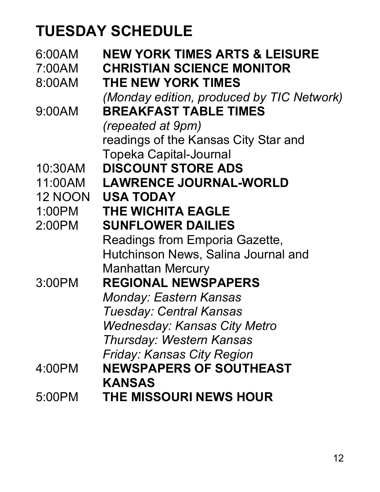## **TUESDAY SCHEDULE**

| 6:00AM         | <b>NEW YORK TIMES ARTS &amp; LEISURE</b>  |
|----------------|-------------------------------------------|
| 7:00AM         | <b>CHRISTIAN SCIENCE MONITOR</b>          |
| 8:00AM         | <b>THE NEW YORK TIMES</b>                 |
|                | (Monday edition, produced by TIC Network) |
| 9:00AM         | <b>BREAKFAST TABLE TIMES</b>              |
|                | <i>(repeated at 9pm)</i>                  |
|                | readings of the Kansas City Star and      |
|                | <b>Topeka Capital-Journal</b>             |
| 10:30AM        | <b>DISCOUNT STORE ADS</b>                 |
| 11:00AM        | <b>LAWRENCE JOURNAL-WORLD</b>             |
| <b>12 NOON</b> | <b>USA TODAY</b>                          |
| 1:00PM         | <b>THE WICHITA EAGLE</b>                  |
| 2:00PM         | <b>SUNFLOWER DAILIES</b>                  |
|                | Readings from Emporia Gazette,            |
|                | Hutchinson News, Salina Journal and       |
|                | <b>Manhattan Mercury</b>                  |
| 3:00PM         | <b>REGIONAL NEWSPAPERS</b>                |
|                | <b>Monday: Eastern Kansas</b>             |
|                | <b>Tuesday: Central Kansas</b>            |
|                | <b>Wednesday: Kansas City Metro</b>       |
|                | <b>Thursday: Western Kansas</b>           |
|                | <b>Friday: Kansas City Region</b>         |
| 4:00PM         | <b>NEWSPAPERS OF SOUTHEAST</b>            |
|                | <b>KANSAS</b>                             |
| 5:00PM         | <b>THE MISSOURI NEWS HOUR</b>             |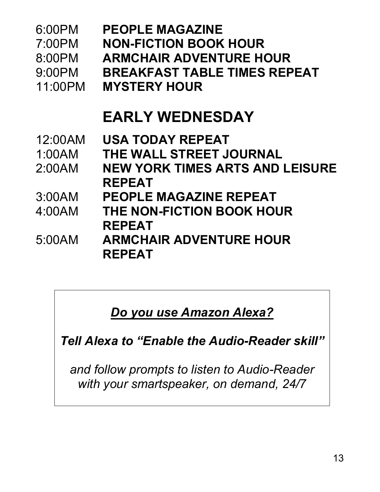| 6:00PM<br>7:00PM<br>8:00PM<br>9:00PM<br>11:00PM | <b>PEOPLE MAGAZINE</b><br><b>NON-FICTION BOOK HOUR</b><br><b>ARMCHAIR ADVENTURE HOUR</b><br><b>BREAKFAST TABLE TIMES REPEAT</b><br><b>MYSTERY HOUR</b> |
|-------------------------------------------------|--------------------------------------------------------------------------------------------------------------------------------------------------------|
|                                                 | <b>EARLY WEDNESDAY</b>                                                                                                                                 |
| 12:00AM                                         | <b>USA TODAY REPEAT</b>                                                                                                                                |
| 1:00AM                                          | THE WALL STREET JOURNAL                                                                                                                                |
| 2:00AM                                          | <b>NEW YORK TIMES ARTS AND LEISURE</b><br><b>REPEAT</b>                                                                                                |
| 3:00AM                                          | <b>PEOPLE MAGAZINE REPEAT</b>                                                                                                                          |
| 4:00AM                                          | THE NON-FICTION BOOK HOUR<br><b>REPEAT</b>                                                                                                             |
| 5:00AM                                          | <b>ARMCHAIR ADVENTURE HOUR</b><br><b>REPEAT</b>                                                                                                        |

*Do you use Amazon Alexa?*

*Tell Alexa to "Enable the Audio-Reader skill"*

*and follow prompts to listen to Audio-Reader with your smartspeaker, on demand, 24/7*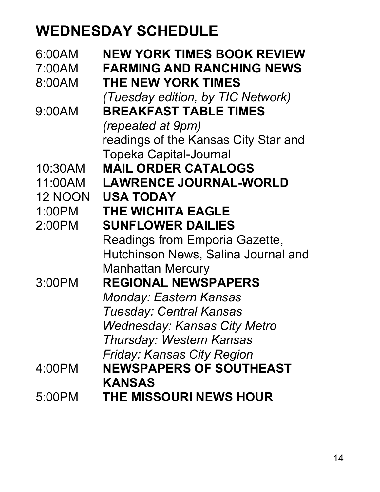### **WEDNESDAY SCHEDULE**

| 6:00AM  | <b>NEW YORK TIMES BOOK REVIEW</b>    |
|---------|--------------------------------------|
| 7:00AM  | <b>FARMING AND RANCHING NEWS</b>     |
| 8:00AM  | <b>THE NEW YORK TIMES</b>            |
|         | (Tuesday edition, by TIC Network)    |
| 9:00AM  | <b>BREAKFAST TABLE TIMES</b>         |
|         | <i>(repeated at 9pm)</i>             |
|         | readings of the Kansas City Star and |
|         | <b>Topeka Capital-Journal</b>        |
| 10:30AM | <b>MAIL ORDER CATALOGS</b>           |
| 11:00AM | <b>LAWRENCE JOURNAL-WORLD</b>        |
| 12 NOON | <b>USA TODAY</b>                     |
| 1:00PM  | <b>THE WICHITA EAGLE</b>             |
| 2:00PM  | <b>SUNFLOWER DAILIES</b>             |
|         | Readings from Emporia Gazette,       |
|         | Hutchinson News, Salina Journal and  |
|         | <b>Manhattan Mercury</b>             |
| 3:00PM  | <b>REGIONAL NEWSPAPERS</b>           |
|         | <b>Monday: Eastern Kansas</b>        |
|         | <b>Tuesday: Central Kansas</b>       |
|         | <b>Wednesday: Kansas City Metro</b>  |
|         | <b>Thursday: Western Kansas</b>      |
|         | <b>Friday: Kansas City Region</b>    |
| 4:00PM  | <b>NEWSPAPERS OF SOUTHEAST</b>       |
|         | <b>KANSAS</b>                        |
| 5:00PM  | <b>THE MISSOURI NEWS HOUR</b>        |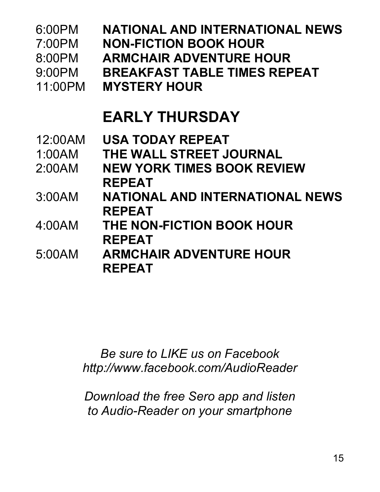| 6:00PM<br>7:00PM<br>8:00PM<br>$9:00$ PM<br>11:00PM | <b>NATIONAL AND INTERNATIONAL NEWS</b><br><b>NON-FICTION BOOK HOUR</b><br><b>ARMCHAIR ADVENTURE HOUR</b><br><b>BREAKFAST TABLE TIMES REPEAT</b><br><b>MYSTERY HOUR</b> |
|----------------------------------------------------|------------------------------------------------------------------------------------------------------------------------------------------------------------------------|
|                                                    | <b>EARLY THURSDAY</b>                                                                                                                                                  |
| 12:00AM<br>1:00AM<br>2:00AM                        | <b>USA TODAY REPEAT</b><br>THE WALL STREET JOURNAL<br><b>NEW YORK TIMES BOOK REVIEW</b><br><b>REPEAT</b>                                                               |
| 3:00AM                                             | <b>NATIONAL AND INTERNATIONAL NEWS</b><br><b>REPEAT</b>                                                                                                                |
| 4:00AM                                             | THE NON-FICTION BOOK HOUR<br><b>REPEAT</b>                                                                                                                             |
| 5:00AM                                             | <b>ARMCHAIR ADVENTURE HOUR</b><br><b>REPEAT</b>                                                                                                                        |

*Be sure to LIKE us on Facebook http://www.facebook.com/AudioReader*

*Download the free Sero app and listen to Audio-Reader on your smartphone*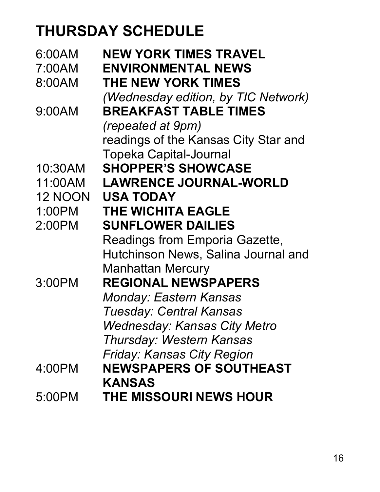## **THURSDAY SCHEDULE**

| 6:00AM         | NEW YORK TIMES TRAVEL                |
|----------------|--------------------------------------|
| 7:00AM         | <b>ENVIRONMENTAL NEWS</b>            |
| 8:00AM         | <b>THE NEW YORK TIMES</b>            |
|                | (Wednesday edition, by TIC Network)  |
| 9:00AM         | <b>BREAKFAST TABLE TIMES</b>         |
|                | <i>(repeated at 9pm)</i>             |
|                | readings of the Kansas City Star and |
|                | <b>Topeka Capital-Journal</b>        |
| 10:30AM        | <b>SHOPPER'S SHOWCASE</b>            |
| 11:00AM        | <b>LAWRENCE JOURNAL-WORLD</b>        |
| <b>12 NOON</b> | <b>USA TODAY</b>                     |
| 1:00PM         | <b>THE WICHITA EAGLE</b>             |
| 2:00PM         | <b>SUNFLOWER DAILIES</b>             |
|                | Readings from Emporia Gazette,       |
|                | Hutchinson News, Salina Journal and  |
|                | <b>Manhattan Mercury</b>             |
| 3:00PM         | <b>REGIONAL NEWSPAPERS</b>           |
|                | <b>Monday: Eastern Kansas</b>        |
|                | <b>Tuesday: Central Kansas</b>       |
|                | <b>Wednesday: Kansas City Metro</b>  |
|                | <b>Thursday: Western Kansas</b>      |
|                | <b>Friday: Kansas City Region</b>    |
| 4:00PM         | <b>NEWSPAPERS OF SOUTHEAST</b>       |
|                | <b>KANSAS</b>                        |
| 5:00PM         | <b>THE MISSOURI NEWS HOUR</b>        |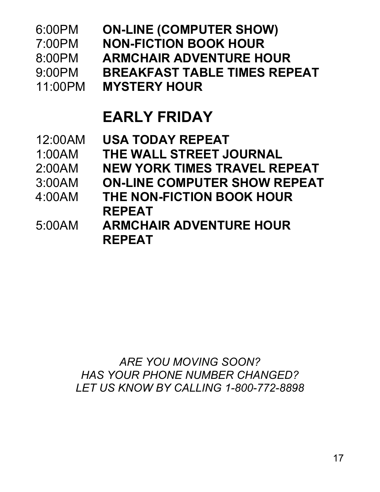| 6:00PM<br>7:00PM<br>8:00PM<br>$9:00$ PM<br>11:00PM | <b>ON-LINE (COMPUTER SHOW)</b><br><b>NON-FICTION BOOK HOUR</b><br><b>ARMCHAIR ADVENTURE HOUR</b><br><b>BREAKFAST TABLE TIMES REPEAT</b><br><b>MYSTERY HOUR</b> |
|----------------------------------------------------|----------------------------------------------------------------------------------------------------------------------------------------------------------------|
|                                                    | <b>EARLY FRIDAY</b>                                                                                                                                            |
| 12:00AM<br>1:00AM<br>2:00AM                        | <b>USA TODAY REPEAT</b><br>THE WALL STREET JOURNAL<br><b>NEW YORK TIMES TRAVEL REPEAT</b>                                                                      |
| 3:00AM<br>$4.00$ AM                                | <b>ON-LINE COMPUTER SHOW REPEAT</b><br>THE NON-FICTION BOOK HOUR<br><b>REPEAT</b>                                                                              |
| 5:00AM                                             | <b>ARMCHAIR ADVENTURE HOUR</b><br><b>REPEAT</b>                                                                                                                |

*ARE YOU MOVING SOON? HAS YOUR PHONE NUMBER CHANGED? LET US KNOW BY CALLING 1-800-772-8898*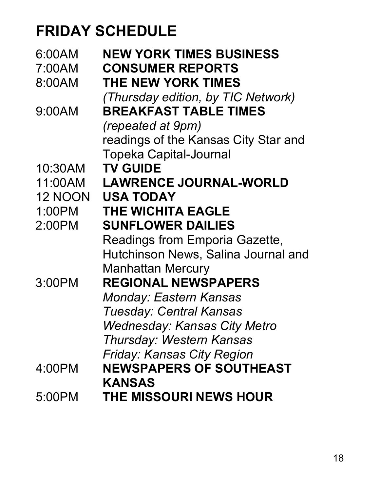## **FRIDAY SCHEDULE**

| 6:00AM         | <b>NEW YORK TIMES BUSINESS</b>       |
|----------------|--------------------------------------|
| 7:00AM         | <b>CONSUMER REPORTS</b>              |
| 8:00AM         | <b>THE NEW YORK TIMES</b>            |
|                | (Thursday edition, by TIC Network)   |
| 9:00AM         | <b>BREAKFAST TABLE TIMES</b>         |
|                | <i>(repeated at 9pm)</i>             |
|                | readings of the Kansas City Star and |
|                | <b>Topeka Capital-Journal</b>        |
| 10:30AM        | <b>TV GUIDE</b>                      |
| 11:00AM        | <b>LAWRENCE JOURNAL-WORLD</b>        |
| <b>12 NOON</b> | <b>USA TODAY</b>                     |
| 1:00PM         | <b>THE WICHITA EAGLE</b>             |
| 2:00PM         | <b>SUNFLOWER DAILIES</b>             |
|                | Readings from Emporia Gazette,       |
|                | Hutchinson News, Salina Journal and  |
|                | <b>Manhattan Mercury</b>             |
| 3:00PM         | <b>REGIONAL NEWSPAPERS</b>           |
|                | <b>Monday: Eastern Kansas</b>        |
|                | <b>Tuesday: Central Kansas</b>       |
|                | <b>Wednesday: Kansas City Metro</b>  |
|                | <b>Thursday: Western Kansas</b>      |
|                | Friday: Kansas City Region           |
| 4:00PM         | <b>NEWSPAPERS OF SOUTHEAST</b>       |
|                | <b>KANSAS</b>                        |
| 5:00PM         | <b>THE MISSOURI NEWS HOUR</b>        |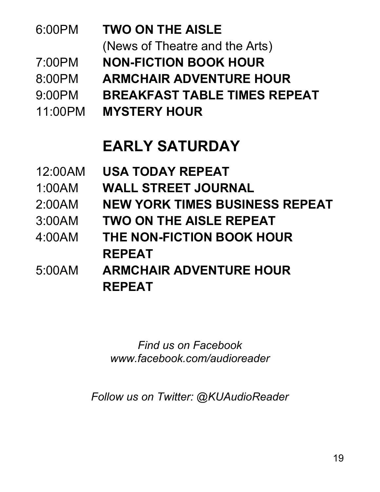| 6:00PM  | <b>TWO ON THE AISLE</b>             |
|---------|-------------------------------------|
|         | (News of Theatre and the Arts)      |
| 7:00PM  | <b>NON-FICTION BOOK HOUR</b>        |
| 8:00PM  | <b>ARMCHAIR ADVENTURE HOUR</b>      |
| 9:00PM  | <b>BREAKFAST TABLE TIMES REPEAT</b> |
| 11:00PM | <b>MYSTERY HOUR</b>                 |
|         |                                     |

### **EARLY SATURDAY**

| <b>WALL STREET JOURNAL</b><br>1:00AM<br>2:00AM<br><b>TWO ON THE AISLE REPEAT</b><br>3:00AM<br>4:00AM<br>THE NON-FICTION BOOK HOUR<br><b>REPEAT</b><br><b>ARMCHAIR ADVENTURE HOUR</b><br>5:00AM<br><b>REPEAT</b> | 12:00AM | <b>USA TODAY REPEAT</b>               |
|-----------------------------------------------------------------------------------------------------------------------------------------------------------------------------------------------------------------|---------|---------------------------------------|
|                                                                                                                                                                                                                 |         |                                       |
|                                                                                                                                                                                                                 |         | <b>NEW YORK TIMES BUSINESS REPEAT</b> |
|                                                                                                                                                                                                                 |         |                                       |
|                                                                                                                                                                                                                 |         |                                       |
|                                                                                                                                                                                                                 |         |                                       |
|                                                                                                                                                                                                                 |         |                                       |
|                                                                                                                                                                                                                 |         |                                       |

*Find us on Facebook www.facebook.com/audioreader*

*Follow us on Twitter: @KUAudioReader*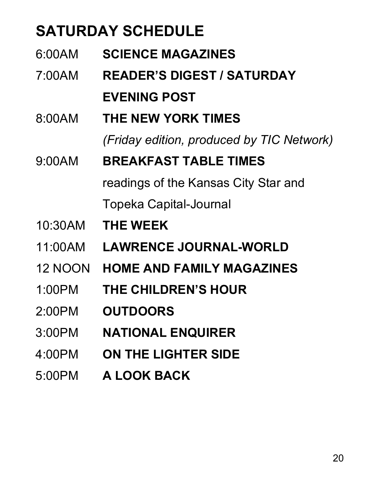## **SATURDAY SCHEDULE**

| 6:00AM         | <b>SCIENCE MAGAZINES</b>                  |
|----------------|-------------------------------------------|
| 7:00AM         | <b>READER'S DIGEST / SATURDAY</b>         |
|                | <b>EVENING POST</b>                       |
| 8:00AM         | <b>THE NEW YORK TIMES</b>                 |
|                | (Friday edition, produced by TIC Network) |
| 9:00AM         | <b>BREAKFAST TABLE TIMES</b>              |
|                | readings of the Kansas City Star and      |
|                | Topeka Capital-Journal                    |
| 10:30AM        | <b>THE WEEK</b>                           |
| 11:00AM        | <b>LAWRENCE JOURNAL-WORLD</b>             |
| <b>12 NOON</b> | <b>HOME AND FAMILY MAGAZINES</b>          |
| 1:00PM         | THE CHILDREN'S HOUR                       |
| $2:00$ PM      | <b>OUTDOORS</b>                           |
| 3:00PM         | <b>NATIONAL ENQUIRER</b>                  |
| 4:00PM         | <b>ON THE LIGHTER SIDE</b>                |
| 5:00PM         | <b>A LOOK BACK</b>                        |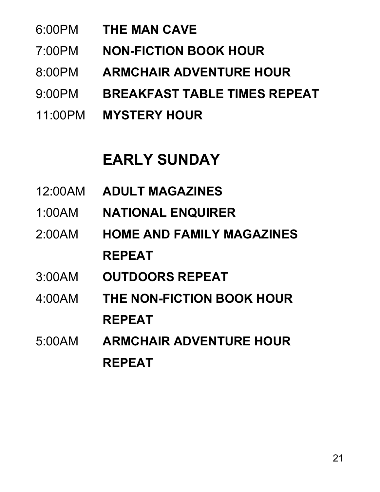- 6:00PM **THE MAN CAVE**
- 7:00PM **NON-FICTION BOOK HOUR**
- 8:00PM **ARMCHAIR ADVENTURE HOUR**
- 9:00PM **BREAKFAST TABLE TIMES REPEAT**
- 11:00PM **MYSTERY HOUR**

### **EARLY SUNDAY**

- 12:00AM **ADULT MAGAZINES**
- 1:00AM **NATIONAL ENQUIRER**
- 2:00AM **HOME AND FAMILY MAGAZINES REPEAT**
- 3:00AM **OUTDOORS REPEAT**
- 4:00AM **THE NON-FICTION BOOK HOUR REPEAT**
- 5:00AM **ARMCHAIR ADVENTURE HOUR REPEAT**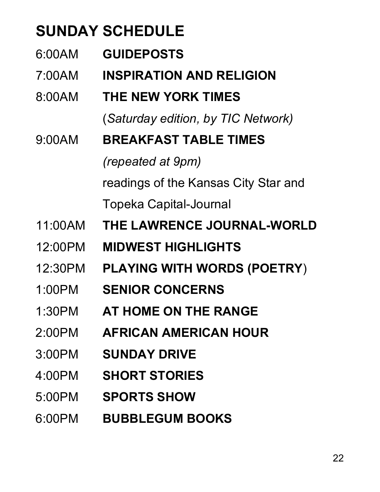## **SUNDAY SCHEDULE**

6:00AM **GUIDEPOSTS** 7:00AM **INSPIRATION AND RELIGION** 8:00AM **THE NEW YORK TIMES** (*Saturday edition, by TIC Network)* 9:00AM **BREAKFAST TABLE TIMES**  *(repeated at 9pm)* readings of the Kansas City Star and

Topeka Capital-Journal

- 11:00AM **THE LAWRENCE JOURNAL-WORLD**
- 12:00PM **MIDWEST HIGHLIGHTS**
- 12:30PM **PLAYING WITH WORDS (POETRY**)
- 1:00PM **SENIOR CONCERNS**
- 1:30PM **AT HOME ON THE RANGE**
- 2:00PM **AFRICAN AMERICAN HOUR**
- 3:00PM **SUNDAY DRIVE**
- 4:00PM **SHORT STORIES**
- 5:00PM **SPORTS SHOW**
- 6:00PM **BUBBLEGUM BOOKS**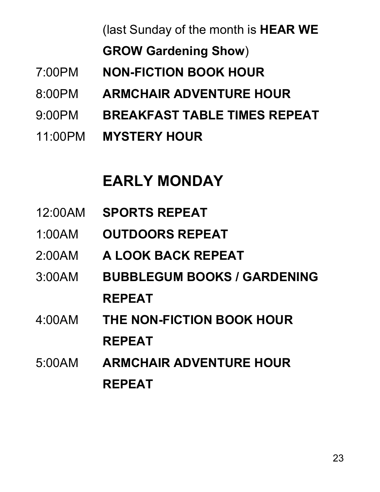(last Sunday of the month is **HEAR WE** 

**GROW Gardening Show**)

- 7:00PM **NON-FICTION BOOK HOUR**
- 8:00PM **ARMCHAIR ADVENTURE HOUR**
- 9:00PM **BREAKFAST TABLE TIMES REPEAT**
- 11:00PM **MYSTERY HOUR**

### **EARLY MONDAY**

- 12:00AM **SPORTS REPEAT**
- 1:00AM **OUTDOORS REPEAT**
- 2:00AM **A LOOK BACK REPEAT**
- 3:00AM **BUBBLEGUM BOOKS / GARDENING REPEAT**
- 4:00AM **THE NON-FICTION BOOK HOUR REPEAT**
- 5:00AM **ARMCHAIR ADVENTURE HOUR REPEAT**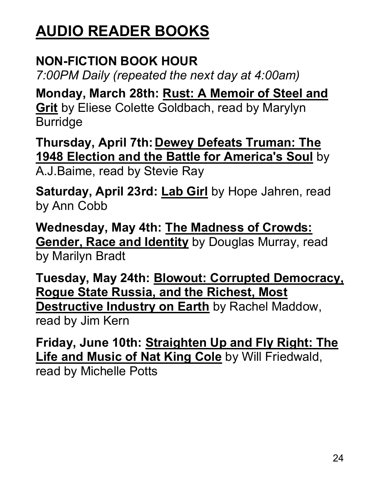## **AUDIO READER BOOKS**

#### **NON-FICTION BOOK HOUR**

*7:00PM Daily (repeated the next day at 4:00am)*

**Monday, March 28th: Rust: A Memoir of Steel and Grit** by Eliese Colette Goldbach, read by Marylyn Burridge

**Thursday, April 7th: Dewey Defeats Truman: The 1948 Election and the Battle for America's Soul** by A.J.Baime, read by Stevie Ray

**Saturday, April 23rd: Lab Girl** by Hope Jahren, read by Ann Cobb

**Wednesday, May 4th: The Madness of Crowds: Gender, Race and Identity** by Douglas Murray, read by Marilyn Bradt

**Tuesday, May 24th: Blowout: Corrupted Democracy, Rogue State Russia, and the Richest, Most Destructive Industry on Earth** by Rachel Maddow, read by Jim Kern

**Friday, June 10th: Straighten Up and Fly Right: The Life and Music of Nat King Cole** by Will Friedwald, read by Michelle Potts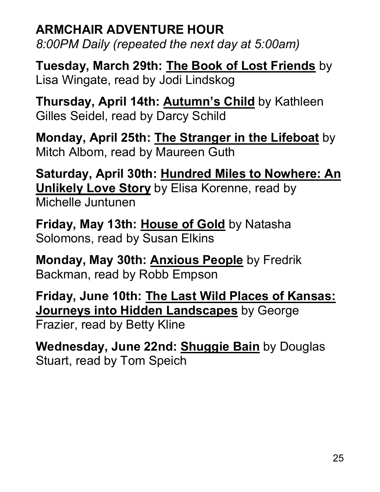### **ARMCHAIR ADVENTURE HOUR**

*8:00PM Daily (repeated the next day at 5:00am)*

**Tuesday, March 29th: The Book of Lost Friends** by Lisa Wingate, read by Jodi Lindskog

**Thursday, April 14th: Autumn's Child** by Kathleen Gilles Seidel, read by Darcy Schild

**Monday, April 25th: The Stranger in the Lifeboat** by Mitch Albom, read by Maureen Guth

**Saturday, April 30th: Hundred Miles to Nowhere: An Unlikely Love Story** by Elisa Korenne, read by Michelle Juntunen

**Friday, May 13th: House of Gold** by Natasha Solomons, read by Susan Elkins

**Monday, May 30th: Anxious People** by Fredrik Backman, read by Robb Empson

**Friday, June 10th: The Last Wild Places of Kansas: Journeys into Hidden Landscapes** by George Frazier, read by Betty Kline

**Wednesday, June 22nd: Shuggie Bain** by Douglas Stuart, read by Tom Speich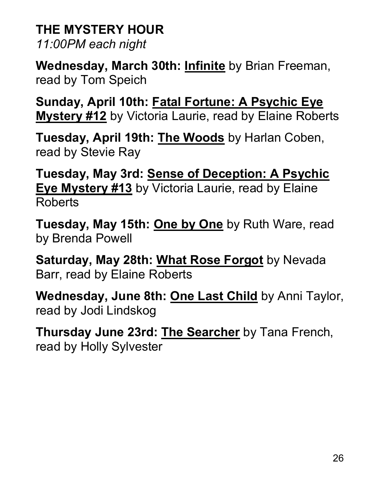#### **THE MYSTERY HOUR**

*11:00PM each night*

**Wednesday, March 30th: Infinite** by Brian Freeman, read by Tom Speich

**Sunday, April 10th: Fatal Fortune: A Psychic Eye Mystery #12** by Victoria Laurie, read by Elaine Roberts

**Tuesday, April 19th: The Woods** by Harlan Coben, read by Stevie Ray

**Tuesday, May 3rd: Sense of Deception: A Psychic Eye Mystery #13** by Victoria Laurie, read by Elaine Roberts

**Tuesday, May 15th: One by One** by Ruth Ware, read by Brenda Powell

**Saturday, May 28th: What Rose Forgot** by Nevada Barr, read by Elaine Roberts

**Wednesday, June 8th: One Last Child** by Anni Taylor, read by Jodi Lindskog

**Thursday June 23rd: The Searcher** by Tana French, read by Holly Sylvester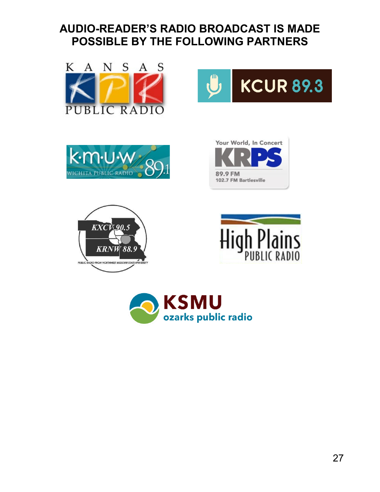#### **AUDIO-READER'S RADIO BROADCAST IS MADE POSSIBLE BY THE FOLLOWING PARTNERS**







**KCUR 89.3**